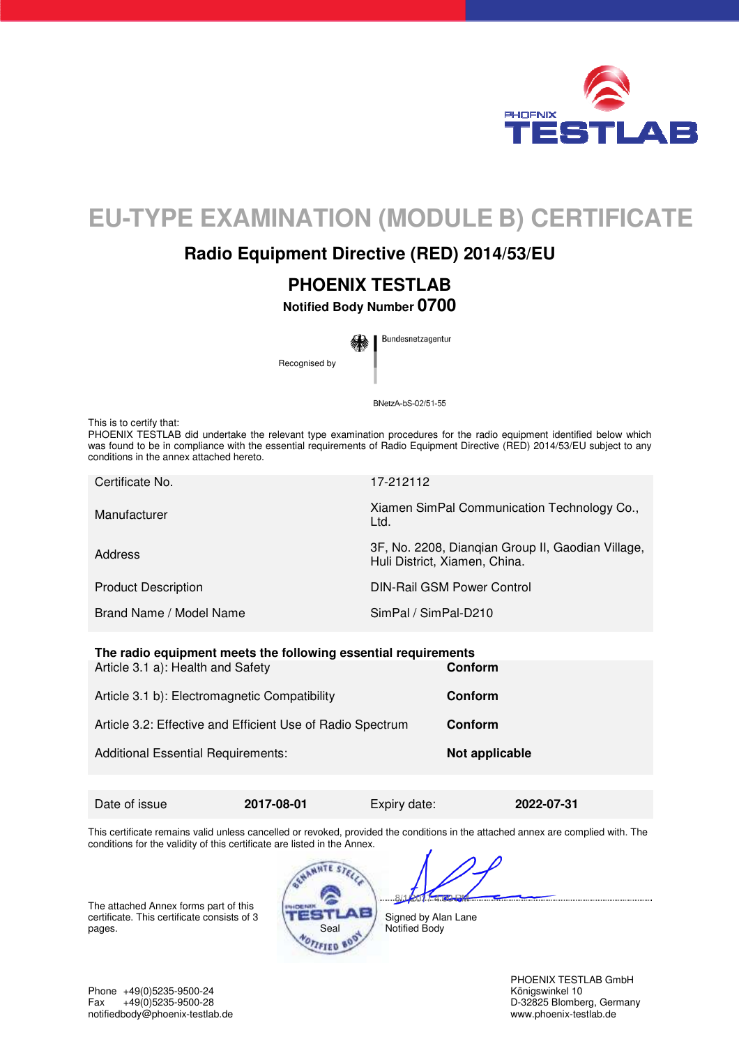

# **EU-TYPE EXAMINATION (MODULE B) CERTIFICATE**

## **Radio Equipment Directive (RED) 2014/53/EU**

# **PHOENIX TESTLAB**

**Notified Body Number 0700** 

Bundesnetzagentur

Recognised by

BNetzA-bS-02/51-55

This is to certify that:

PHOENIX TESTLAB did undertake the relevant type examination procedures for the radio equipment identified below which was found to be in compliance with the essential requirements of Radio Equipment Directive (RED) 2014/53/EU subject to any conditions in the annex attached hereto.

| 17-212112                                                                          |
|------------------------------------------------------------------------------------|
| Xiamen SimPal Communication Technology Co.,<br>Ltd.                                |
| 3F, No. 2208, Diangian Group II, Gaodian Village,<br>Huli District, Xiamen, China. |
| DIN-Rail GSM Power Control                                                         |
| SimPal / SimPal-D210                                                               |
|                                                                                    |

**The radio equipment meets the following essential requirements** Article 3.1 a): Health and Safety **Conform Conform** 

| Article 3.1 b): Electromagnetic Compatibility              | Conform        |
|------------------------------------------------------------|----------------|
| Article 3.2: Effective and Efficient Use of Radio Spectrum | Conform        |
| <b>Additional Essential Requirements:</b>                  | Not applicable |

Date of issue **2017-08-01** Expiry date: **2022-07-31** 

This certificate remains valid unless cancelled or revoked, provided the conditions in the attached annex are complied with. The conditions for the validity of this certificate are listed in the Annex.

The attached Annex forms part of this certificate. This certificate consists of 3 pages. Seal



 $R/1$ Signed by Alan Lane Notified Body

PHOENIX TESTLAB GmbH<br>Königswinkel 10

Phone +49(0)5235-9500-24<br>Fax +49(0)5235-9500-28 Fax +49(0)5235-9500-28 D-32825 Blomberg, Germany<br>
notifiedbody@phoenix-testlab.de<br>
www.phoenix-testlab.de<br>
www.phoenix-testlab.de notifiedbody@phoenix-testlab.de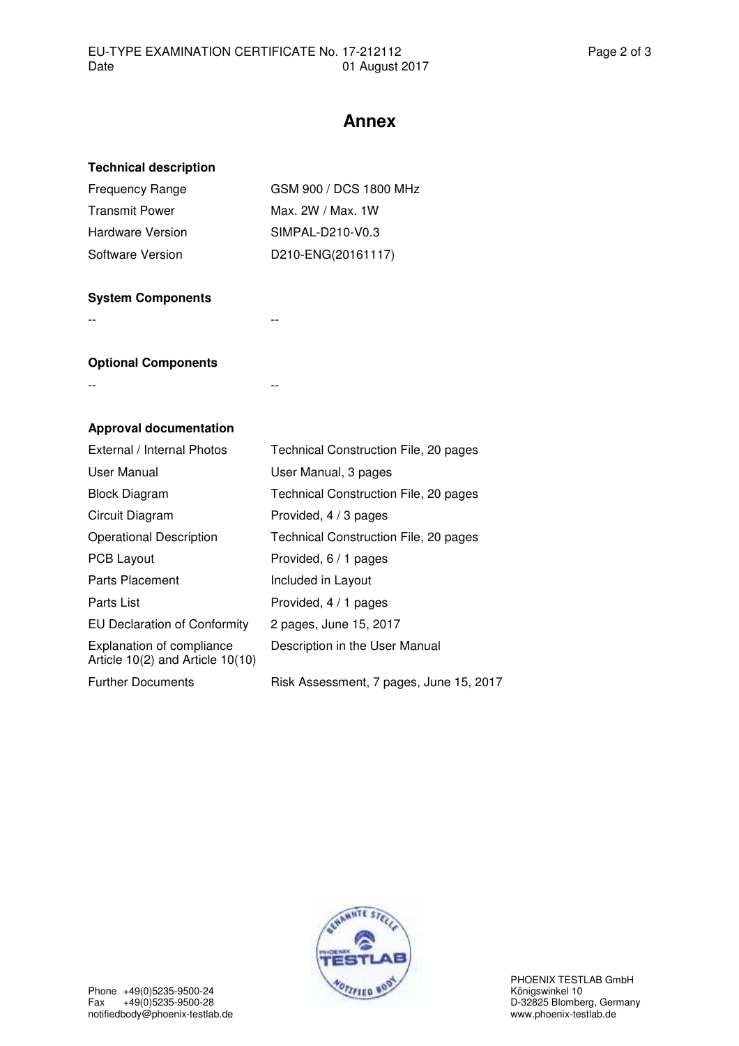### **Annex**

#### **Technical description**

| GSM 900 / DCS 1800 MHz |
|------------------------|
| Max. 2W / Max. 1W      |
| SIMPAL-D210-V0.3       |
| D210-ENG(20161117)     |
|                        |

#### **System Components**

-- --

#### **Optional Components**

-- --

#### **Approval documentation**

| External / Internal Photos                                               | Technical Construction File, 20 pages   |
|--------------------------------------------------------------------------|-----------------------------------------|
| User Manual                                                              | User Manual, 3 pages                    |
| <b>Block Diagram</b>                                                     | Technical Construction File, 20 pages   |
| Circuit Diagram                                                          | Provided, 4 / 3 pages                   |
| <b>Operational Description</b>                                           | Technical Construction File, 20 pages   |
| <b>PCB Layout</b>                                                        | Provided, 6 / 1 pages                   |
| Parts Placement                                                          | Included in Layout                      |
| Parts List                                                               | Provided, 4 / 1 pages                   |
| <b>EU Declaration of Conformity</b>                                      | 2 pages, June 15, 2017                  |
| <b>Explanation of compliance</b><br>Article $10(2)$ and Article $10(10)$ | Description in the User Manual          |
| <b>Further Documents</b>                                                 | Risk Assessment, 7 pages, June 15, 2017 |